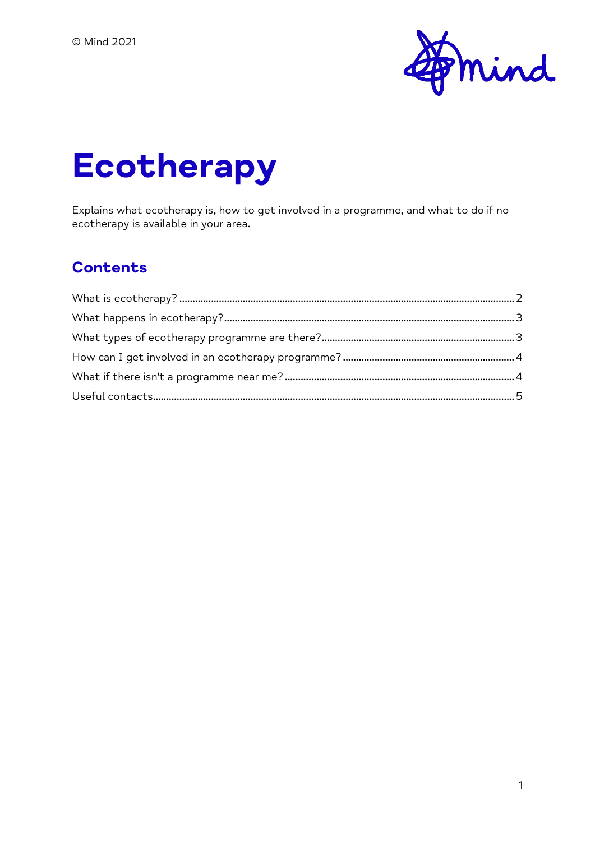

# **Ecotherapy**

Explains what ecotherapy is, how to get involved in a programme, and what to do if no ecotherapy is available in your area.

#### **Contents**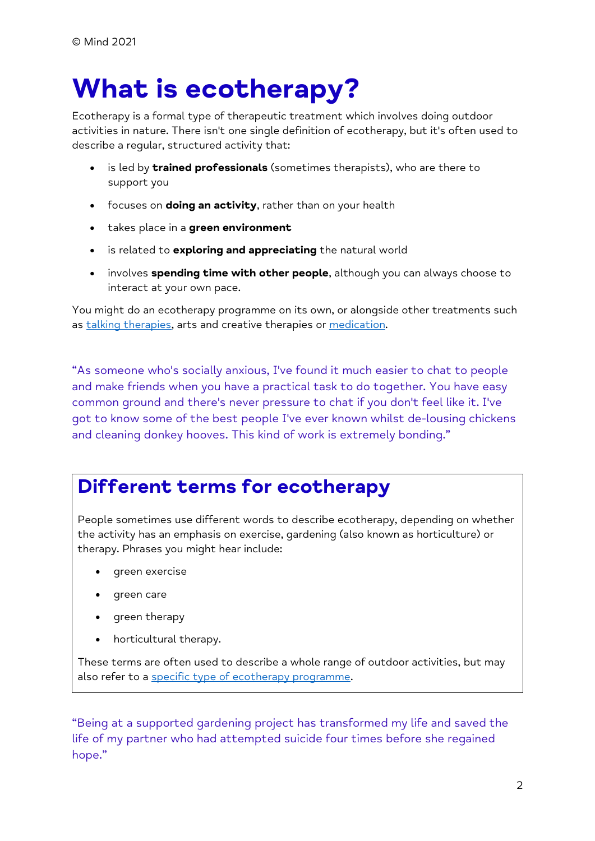# <span id="page-1-0"></span>**What is ecotherapy?**

Ecotherapy is a formal type of therapeutic treatment which involves doing outdoor activities in nature. There isn't one single definition of ecotherapy, but it's often used to describe a regular, structured activity that:

- is led by **trained professionals** (sometimes therapists), who are there to support you
- focuses on **doing an activity**, rather than on your health
- takes place in a **green environment**
- is related to **exploring and appreciating** the natural world
- involves **spending time with other people**, although you can always choose to interact at your own pace.

You might do an ecotherapy programme on its own, or alongside other treatments such as [talking therapies,](https://www.mind.org.uk/information-support/drugs-and-treatments/talking-therapy-and-counselling/) arts and creative therapies or [medication.](https://www.mind.org.uk/information-support/drugs-and-treatments/medication/)

"As someone who's socially anxious, I've found it much easier to chat to people and make friends when you have a practical task to do together. You have easy common ground and there's never pressure to chat if you don't feel like it. I've got to know some of the best people I've ever known whilst de-lousing chickens and cleaning donkey hooves. This kind of work is extremely bonding."

## **Different terms for ecotherapy**

People sometimes use different words to describe ecotherapy, depending on whether the activity has an emphasis on exercise, gardening (also known as horticulture) or therapy. Phrases you might hear include:

- green exercise
- green care
- green therapy
- horticultural therapy.

These terms are often used to describe a whole range of outdoor activities, but may also refer to a [specific type of ecotherapy programme.](https://www.mind.org.uk/information-support/drugs-and-treatments/talking-therapy-and-counselling/ecotherapy/#WhatTypesOfEcotherapyProgrammeAreThere)

"Being at a supported gardening project has transformed my life and saved the life of my partner who had attempted suicide four times before she regained hope."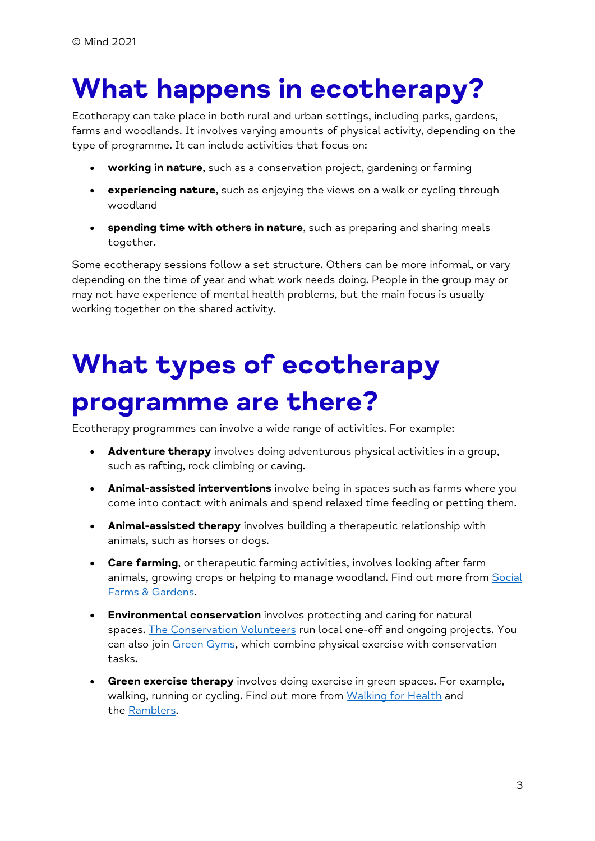# <span id="page-2-0"></span>**What happens in ecotherapy?**

Ecotherapy can take place in both rural and urban settings, including parks, gardens, farms and woodlands. It involves varying amounts of physical activity, depending on the type of programme. It can include activities that focus on:

- **working in nature**, such as a conservation project, gardening or farming
- **experiencing nature**, such as enjoying the views on a walk or cycling through woodland
- **spending time with others in nature**, such as preparing and sharing meals together.

Some ecotherapy sessions follow a set structure. Others can be more informal, or vary depending on the time of year and what work needs doing. People in the group may or may not have experience of mental health problems, but the main focus is usually working together on the shared activity.

# <span id="page-2-1"></span>**What types of ecotherapy programme are there?**

Ecotherapy programmes can involve a wide range of activities. For example:

- Adventure therapy involves doing adventurous physical activities in a group, such as rafting, rock climbing or caving.
- **Animal-assisted interventions** involve being in spaces such as farms where you come into contact with animals and spend relaxed time feeding or petting them.
- **Animal-assisted therapy** involves building a therapeutic relationship with animals, such as horses or dogs.
- **Care farming**, or therapeutic farming activities, involves looking after farm animals, growing crops or helping to manage woodland. Find out more from Social [Farms & Gardens.](https://www.farmgarden.org.uk/)
- **Environmental conservation** involves protecting and caring for natural spaces. [The Conservation Volunteers](https://www.tcv.org.uk/) run local one-off and ongoing projects. You can also join [Green Gyms,](https://www.tcv.org.uk/greengym/) which combine physical exercise with conservation tasks.
- **Green exercise therapy** involves doing exercise in green spaces. For example, walking, running or cycling. Find out more from [Walking for](https://www.walkingforhealth.org.uk/) Health and the [Ramblers.](https://www.ramblers.org.uk/)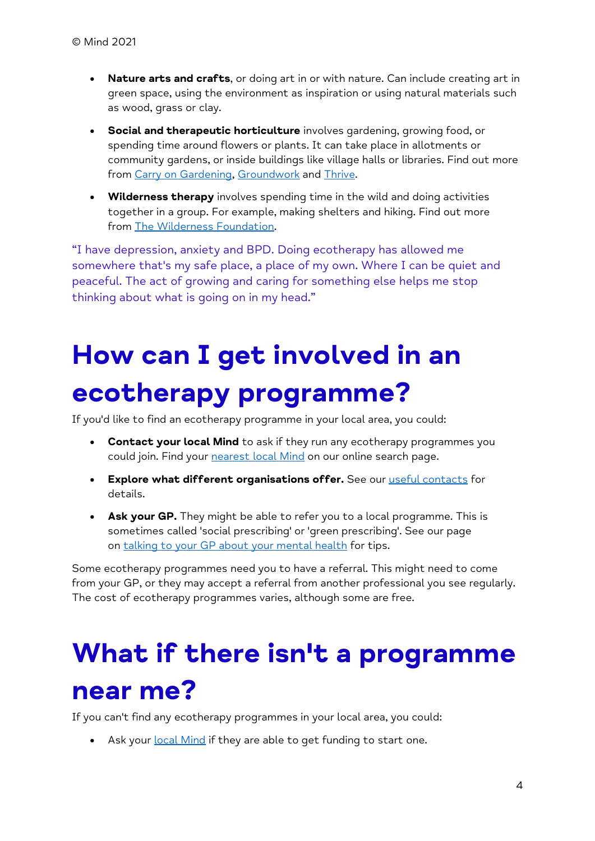- **Nature arts and crafts**, or doing art in or with nature. Can include creating art in green space, using the environment as inspiration or using natural materials such as wood, grass or clay.
- **Social and therapeutic horticulture** involves gardening, growing food, or spending time around flowers or plants. It can take place in allotments or community gardens, or inside buildings like village halls or libraries. Find out more from [Carry on Gardening,](http://www.carryongardening.org.uk/) [Groundwork](http://www.groundwork.org.uk/) and [Thrive.](http://www.thrive.org.uk/)
- **Wilderness therapy** involves spending time in the wild and doing activities together in a group. For example, making shelters and hiking. Find out more from [The Wilderness Foundation.](http://www.wildernessfoundation.org.uk/)

"I have depression, anxiety and BPD. Doing ecotherapy has allowed me somewhere that's my safe place, a place of my own. Where I can be quiet and peaceful. The act of growing and caring for something else helps me stop thinking about what is going on in my head."

# <span id="page-3-0"></span>**How can I get involved in an ecotherapy programme?**

If you'd like to find an ecotherapy programme in your local area, you could:

- **Contact your local Mind** to ask if they run any ecotherapy programmes you could join. Find your [nearest local Mind](https://www.mind.org.uk/information-support/local-minds/) on our online search page.
- **Explore what different organisations offer.** See our [useful contacts](https://www.mind.org.uk/information-support/tips-for-everyday-living/nature-and-mental-health/useful-contacts/) for details.
- **Ask your GP.** They might be able to refer you to a local programme. This is sometimes called 'social prescribing' or 'green prescribing'. See our page on [talking to your GP about your mental health](https://www.mind.org.uk/information-support/guides-to-support-and-services/seeking-help-for-a-mental-health-problem/talking-to-your-gp/) for tips.

Some ecotherapy programmes need you to have a referral. This might need to come from your GP, or they may accept a referral from another professional you see regularly. The cost of ecotherapy programmes varies, although some are free.

# <span id="page-3-1"></span>**What if there isn't a programme near me?**

If you can't find any ecotherapy programmes in your local area, you could:

• Ask your *[local Mind](https://www.mind.org.uk/information-support/local-minds/)* if they are able to get funding to start one.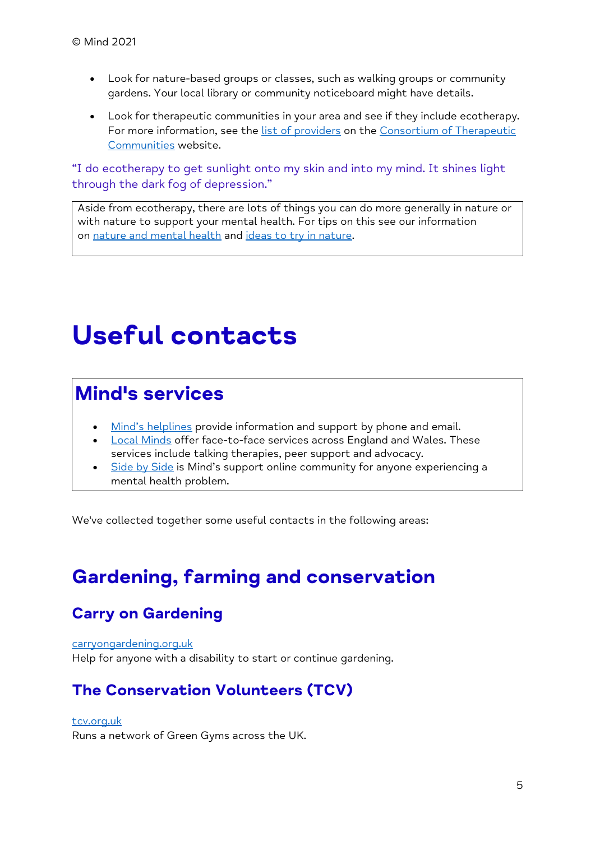- Look for nature-based groups or classes, such as walking groups or community gardens. Your local library or community noticeboard might have details.
- Look for therapeutic communities in your area and see if they include ecotherapy. For more information, see the [list of providers](https://www.therapeuticcommunities.org/members/list-of-therapeutic-communities/) on the Consortium of Therapeutic [Communities](https://www.therapeuticcommunities.org/) website.

"I do ecotherapy to get sunlight onto my skin and into my mind. It shines light through the dark fog of depression."

Aside from ecotherapy, there are lots of things you can do more generally in nature or with nature to support your mental health. For tips on this see our information on [nature and mental health](https://www.mind.org.uk/information-support/tips-for-everyday-living/nature-and-mental-health/) and [ideas to try in nature.](https://www.mind.org.uk/information-support/tips-for-everyday-living/nature-and-mental-health/ideas-to-try-in-nature/)

## <span id="page-4-0"></span>**Useful contacts**

## **Mind's services**

- [Mind's helplines](https://www.mind.org.uk/information-support/helplines/) provide information and support by phone and email.
- [Local Minds](https://www.mind.org.uk/about-us/local-minds/) offer face-to-face services across England and Wales. These services include talking therapies, peer support and advocacy.
- [Side by Side](https://www.mind.org.uk/information-support/side-by-side-our-online-community/) is Mind's support online community for anyone experiencing a mental health problem.

We've collected together some useful contacts in the following areas:

## **Gardening, farming and conservation**

### **Carry on Gardening**

[carryongardening.org.uk](https://www.carryongardening.org.uk/) Help for anyone with a disability to start or continue gardening.

#### **The Conservation Volunteers (TCV)**

#### [tcv.org.uk](https://www.tcv.org.uk/)

Runs a network of Green Gyms across the UK.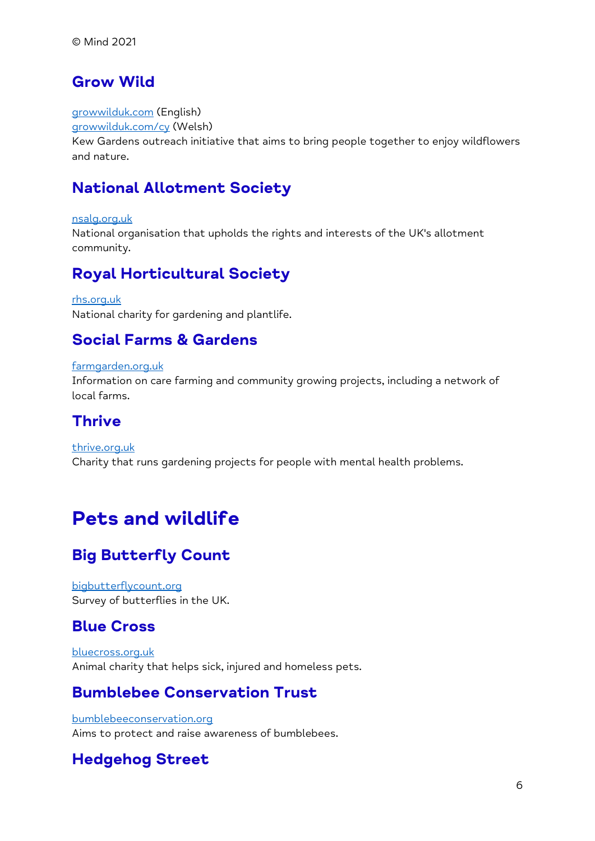#### **Grow Wild**

[growwilduk.com](https://www.growwilduk.com/) (English)

[growwilduk.com/cy](https://www.growwilduk.com/cy) (Welsh)

Kew Gardens outreach initiative that aims to bring people together to enjoy wildflowers and nature.

### **National Allotment Society**

[nsalg.org.uk](https://www.nsalg.org.uk/) National organisation that upholds the rights and interests of the UK's allotment community.

### **Royal Horticultural Society**

[rhs.org.uk](https://www.rhs.org.uk/) National charity for gardening and plantlife.

### **Social Farms & Gardens**

#### [farmgarden.org.uk](https://www.farmgarden.org.uk/)

Information on care farming and community growing projects, including a network of local farms.

#### **Thrive**

[thrive.org.uk](https://www.thrive.org.uk/) Charity that runs gardening projects for people with mental health problems.

## **Pets and wildlife**

### **Big Butterfly Count**

[bigbutterflycount.org](https://www.bigbutterflycount.org/) Survey of butterflies in the UK.

#### **Blue Cross**

[bluecross.org.uk](https://www.bluecross.org.uk/) Animal charity that helps sick, injured and homeless pets.

#### **Bumblebee Conservation Trust**

[bumblebeeconservation.org](https://www.bumblebeeconservation.org/) Aims to protect and raise awareness of bumblebees.

### **Hedgehog Street**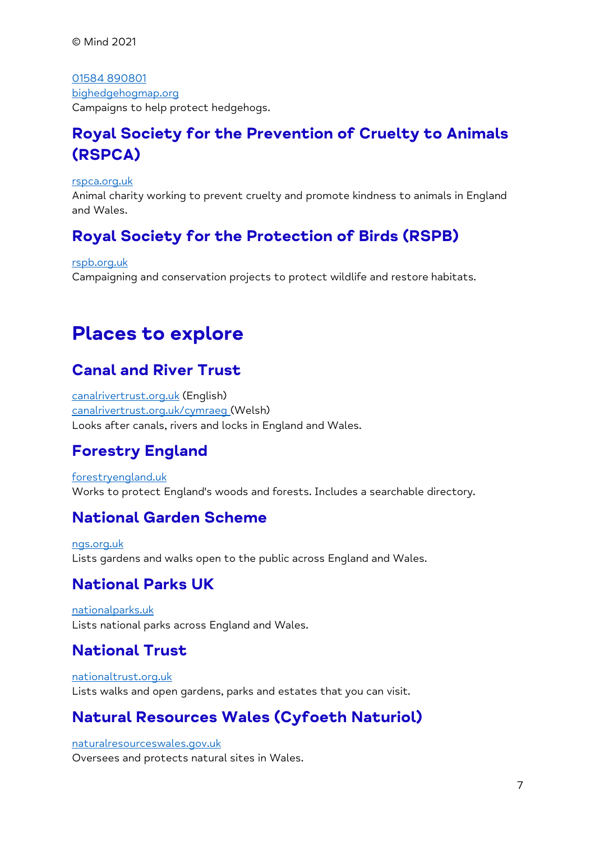© Mind 2021

[01584 890801](tel:+44-1584-890801) [bighedgehogmap.org](https://www.bighedgehogmap.org/) Campaigns to help protect hedgehogs.

#### **Royal Society for the Prevention of Cruelty to Animals (RSPCA)**

[rspca.org.uk](https://www.rspca.org.uk/)

Animal charity working to prevent cruelty and promote kindness to animals in England and Wales.

#### **Royal Society for the Protection of Birds (RSPB)**

[rspb.org.uk](https://www.rspb.org.uk/)

Campaigning and conservation projects to protect wildlife and restore habitats.

## **Places to explore**

#### **Canal and River Trust**

[canalrivertrust.org.uk](https://www.canalrivertrust.org.uk/) (English) [canalrivertrust.org.uk/cymraeg](https://www.canalrivertrust.org.uk/cymru) (Welsh) Looks after canals, rivers and locks in England and Wales.

### **Forestry England**

[forestryengland.uk](https://www.forestryengland.uk/) Works to protect England's woods and forests. Includes a searchable directory.

#### **National Garden Scheme**

[ngs.org.uk](https://www.ngs.org.uk/) Lists gardens and walks open to the public across England and Wales.

#### **National Parks UK**

[nationalparks.uk](https://www.nationalparks.uk/) Lists national parks across England and Wales.

#### **National Trust**

[nationaltrust.org.uk](https://www.nationaltrust.org.uk/) Lists walks and open gardens, parks and estates that you can visit.

#### **Natural Resources Wales (Cyfoeth Naturiol)**

[naturalresourceswales.gov.uk](https://www.naturalresourceswales.gov.uk/?lang=en) Oversees and protects natural sites in Wales.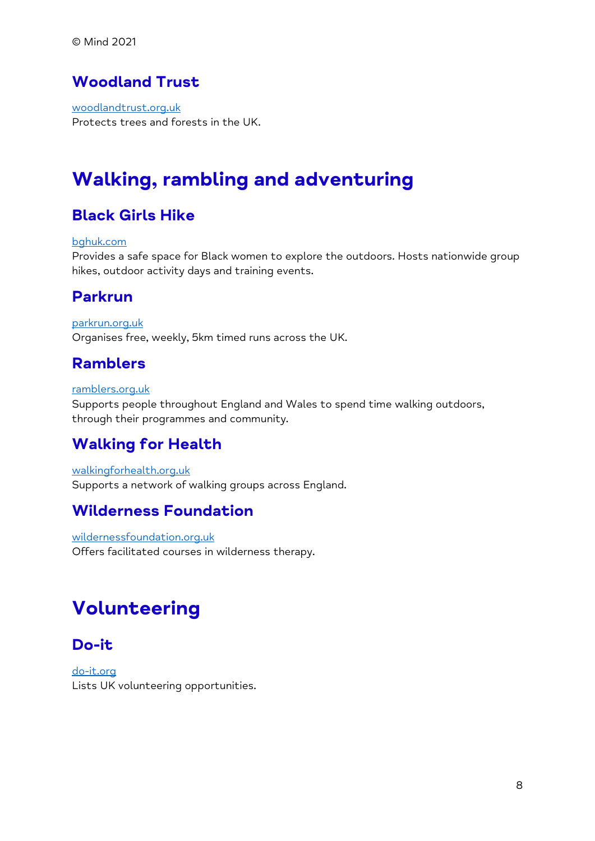#### **Woodland Trust**

[woodlandtrust.org.uk](https://www.woodlandtrust.org.uk/) Protects trees and forests in the UK.

## **Walking, rambling and adventuring**

#### **Black Girls Hike**

#### [bghuk.com](https://www.bghuk.com/)

Provides a safe space for Black women to explore the outdoors. Hosts nationwide group hikes, outdoor activity days and training events.

#### **Parkrun**

[parkrun.org.uk](https://www.parkrun.org.uk/) Organises free, weekly, 5km timed runs across the UK.

#### **Ramblers**

#### [ramblers.org.uk](https://www.ramblers.org.uk/)

Supports people throughout England and Wales to spend time walking outdoors, through their programmes and community.

#### **Walking for Health**

[walkingforhealth.org.uk](https://www.walkingforhealth.org.uk/) Supports a network of walking groups across England.

#### **Wilderness Foundation**

[wildernessfoundation.org.uk](https://wildernessfoundation.org.uk/) Offers facilitated courses in wilderness therapy.

## **Volunteering**

#### **Do-it**

[do-it.org](https://www.do-it.org/) Lists UK volunteering opportunities.